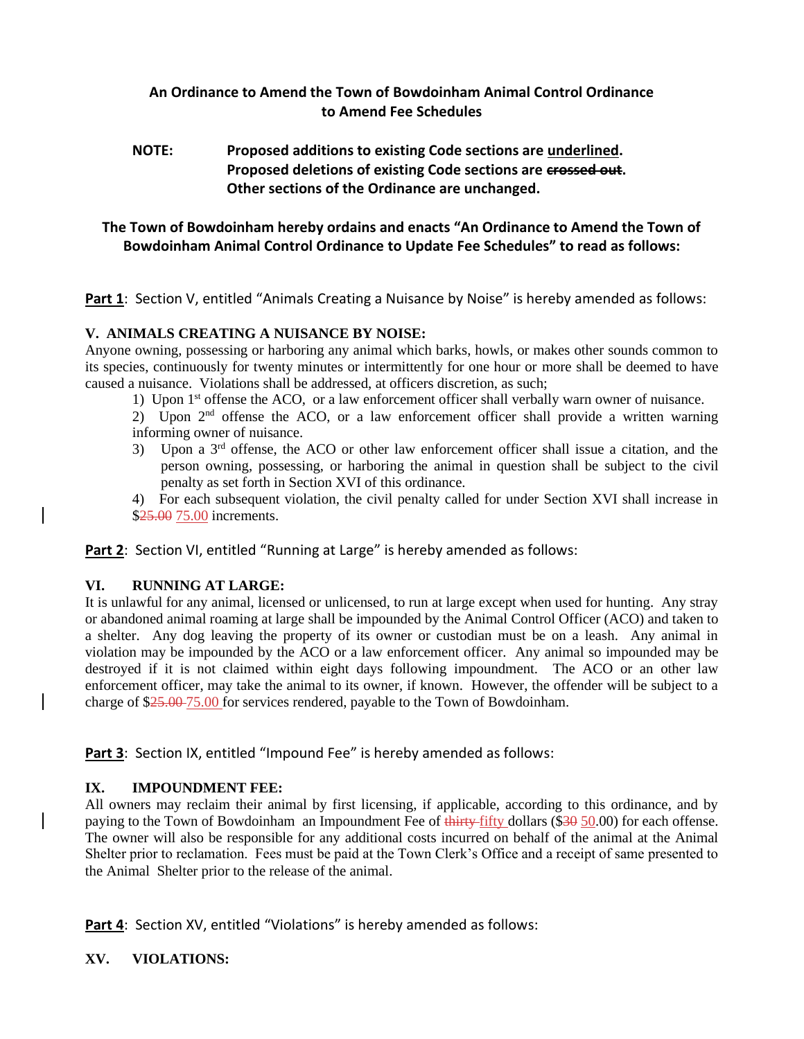## **An Ordinance to Amend the Town of Bowdoinham Animal Control Ordinance to Amend Fee Schedules**

## **NOTE: Proposed additions to existing Code sections are underlined. Proposed deletions of existing Code sections are crossed out. Other sections of the Ordinance are unchanged.**

# **The Town of Bowdoinham hereby ordains and enacts "An Ordinance to Amend the Town of Bowdoinham Animal Control Ordinance to Update Fee Schedules" to read as follows:**

**Part 1**: Section V, entitled "Animals Creating a Nuisance by Noise" is hereby amended as follows:

### **V. ANIMALS CREATING A NUISANCE BY NOISE:**

Anyone owning, possessing or harboring any animal which barks, howls, or makes other sounds common to its species, continuously for twenty minutes or intermittently for one hour or more shall be deemed to have caused a nuisance. Violations shall be addressed, at officers discretion, as such;

- 1) Upon  $1<sup>st</sup>$  offense the ACO, or a law enforcement officer shall verbally warn owner of nuisance.
- 2) Upon  $2<sup>nd</sup>$  offense the ACO, or a law enforcement officer shall provide a written warning informing owner of nuisance.
- 3) Upon a 3<sup>rd</sup> offense, the ACO or other law enforcement officer shall issue a citation, and the person owning, possessing, or harboring the animal in question shall be subject to the civil penalty as set forth in Section XVI of this ordinance.
- 4) For each subsequent violation, the civil penalty called for under Section XVI shall increase in \$25.00 75.00 increments.

Part 2: Section VI, entitled "Running at Large" is hereby amended as follows:

## **VI. RUNNING AT LARGE:**

It is unlawful for any animal, licensed or unlicensed, to run at large except when used for hunting. Any stray or abandoned animal roaming at large shall be impounded by the Animal Control Officer (ACO) and taken to a shelter. Any dog leaving the property of its owner or custodian must be on a leash. Any animal in violation may be impounded by the ACO or a law enforcement officer. Any animal so impounded may be destroyed if it is not claimed within eight days following impoundment. The ACO or an other law enforcement officer, may take the animal to its owner, if known. However, the offender will be subject to a charge of \$25.00 75.00 for services rendered, payable to the Town of Bowdoinham.

**Part 3**: Section IX, entitled "Impound Fee" is hereby amended as follows:

### **IX. IMPOUNDMENT FEE:**

All owners may reclaim their animal by first licensing, if applicable, according to this ordinance, and by paying to the Town of Bowdoinham an Impoundment Fee of thirty-fifty dollars (\$30 50.00) for each offense. The owner will also be responsible for any additional costs incurred on behalf of the animal at the Animal Shelter prior to reclamation. Fees must be paid at the Town Clerk's Office and a receipt of same presented to the Animal Shelter prior to the release of the animal.

Part 4: Section XV, entitled "Violations" is hereby amended as follows:

### **XV. VIOLATIONS:**